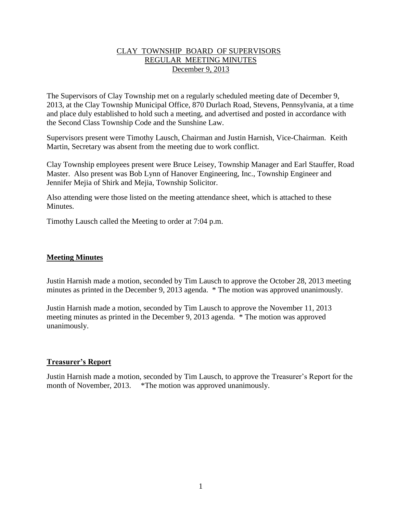## CLAY TOWNSHIP BOARD OF SUPERVISORS REGULAR MEETING MINUTES December 9, 2013

The Supervisors of Clay Township met on a regularly scheduled meeting date of December 9, 2013, at the Clay Township Municipal Office, 870 Durlach Road, Stevens, Pennsylvania, at a time and place duly established to hold such a meeting, and advertised and posted in accordance with the Second Class Township Code and the Sunshine Law.

Supervisors present were Timothy Lausch, Chairman and Justin Harnish, Vice-Chairman. Keith Martin, Secretary was absent from the meeting due to work conflict.

Clay Township employees present were Bruce Leisey, Township Manager and Earl Stauffer, Road Master. Also present was Bob Lynn of Hanover Engineering, Inc., Township Engineer and Jennifer Mejia of Shirk and Mejia, Township Solicitor.

Also attending were those listed on the meeting attendance sheet, which is attached to these **Minutes** 

Timothy Lausch called the Meeting to order at 7:04 p.m.

## **Meeting Minutes**

Justin Harnish made a motion, seconded by Tim Lausch to approve the October 28, 2013 meeting minutes as printed in the December 9, 2013 agenda. \* The motion was approved unanimously.

Justin Harnish made a motion, seconded by Tim Lausch to approve the November 11, 2013 meeting minutes as printed in the December 9, 2013 agenda. \* The motion was approved unanimously.

## **Treasurer's Report**

Justin Harnish made a motion, seconded by Tim Lausch, to approve the Treasurer's Report for the month of November, 2013. \*The motion was approved unanimously.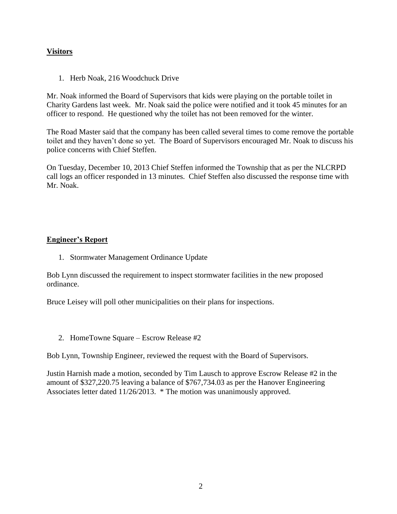# **Visitors**

1. Herb Noak, 216 Woodchuck Drive

Mr. Noak informed the Board of Supervisors that kids were playing on the portable toilet in Charity Gardens last week. Mr. Noak said the police were notified and it took 45 minutes for an officer to respond. He questioned why the toilet has not been removed for the winter.

The Road Master said that the company has been called several times to come remove the portable toilet and they haven't done so yet. The Board of Supervisors encouraged Mr. Noak to discuss his police concerns with Chief Steffen.

On Tuesday, December 10, 2013 Chief Steffen informed the Township that as per the NLCRPD call logs an officer responded in 13 minutes. Chief Steffen also discussed the response time with Mr. Noak.

# **Engineer's Report**

1. Stormwater Management Ordinance Update

Bob Lynn discussed the requirement to inspect stormwater facilities in the new proposed ordinance.

Bruce Leisey will poll other municipalities on their plans for inspections.

2. HomeTowne Square – Escrow Release #2

Bob Lynn, Township Engineer, reviewed the request with the Board of Supervisors.

Justin Harnish made a motion, seconded by Tim Lausch to approve Escrow Release #2 in the amount of \$327,220.75 leaving a balance of \$767,734.03 as per the Hanover Engineering Associates letter dated 11/26/2013. \* The motion was unanimously approved.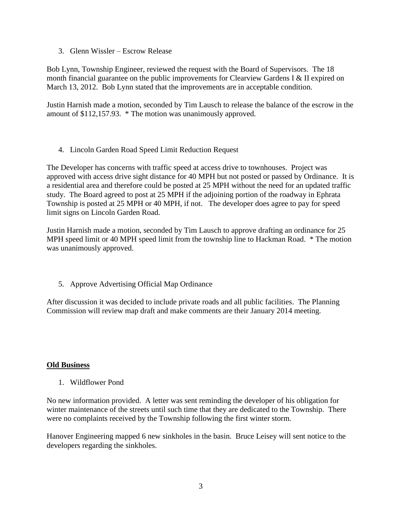3. Glenn Wissler – Escrow Release

Bob Lynn, Township Engineer, reviewed the request with the Board of Supervisors. The 18 month financial guarantee on the public improvements for Clearview Gardens I & II expired on March 13, 2012. Bob Lynn stated that the improvements are in acceptable condition.

Justin Harnish made a motion, seconded by Tim Lausch to release the balance of the escrow in the amount of \$112,157.93. \* The motion was unanimously approved.

4. Lincoln Garden Road Speed Limit Reduction Request

The Developer has concerns with traffic speed at access drive to townhouses. Project was approved with access drive sight distance for 40 MPH but not posted or passed by Ordinance. It is a residential area and therefore could be posted at 25 MPH without the need for an updated traffic study. The Board agreed to post at 25 MPH if the adjoining portion of the roadway in Ephrata Township is posted at 25 MPH or 40 MPH, if not. The developer does agree to pay for speed limit signs on Lincoln Garden Road.

Justin Harnish made a motion, seconded by Tim Lausch to approve drafting an ordinance for 25 MPH speed limit or 40 MPH speed limit from the township line to Hackman Road. \* The motion was unanimously approved.

5. Approve Advertising Official Map Ordinance

After discussion it was decided to include private roads and all public facilities. The Planning Commission will review map draft and make comments are their January 2014 meeting.

## **Old Business**

1. Wildflower Pond

No new information provided. A letter was sent reminding the developer of his obligation for winter maintenance of the streets until such time that they are dedicated to the Township. There were no complaints received by the Township following the first winter storm.

Hanover Engineering mapped 6 new sinkholes in the basin. Bruce Leisey will sent notice to the developers regarding the sinkholes.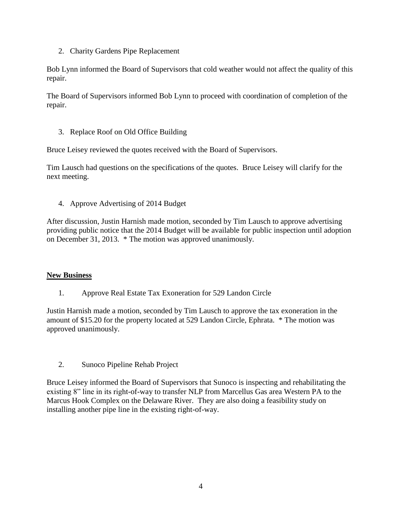2. Charity Gardens Pipe Replacement

Bob Lynn informed the Board of Supervisors that cold weather would not affect the quality of this repair.

The Board of Supervisors informed Bob Lynn to proceed with coordination of completion of the repair.

3. Replace Roof on Old Office Building

Bruce Leisey reviewed the quotes received with the Board of Supervisors.

Tim Lausch had questions on the specifications of the quotes. Bruce Leisey will clarify for the next meeting.

4. Approve Advertising of 2014 Budget

After discussion, Justin Harnish made motion, seconded by Tim Lausch to approve advertising providing public notice that the 2014 Budget will be available for public inspection until adoption on December 31, 2013. \* The motion was approved unanimously.

## **New Business**

1. Approve Real Estate Tax Exoneration for 529 Landon Circle

Justin Harnish made a motion, seconded by Tim Lausch to approve the tax exoneration in the amount of \$15.20 for the property located at 529 Landon Circle, Ephrata. \* The motion was approved unanimously.

2. Sunoco Pipeline Rehab Project

Bruce Leisey informed the Board of Supervisors that Sunoco is inspecting and rehabilitating the existing 8" line in its right-of-way to transfer NLP from Marcellus Gas area Western PA to the Marcus Hook Complex on the Delaware River. They are also doing a feasibility study on installing another pipe line in the existing right-of-way.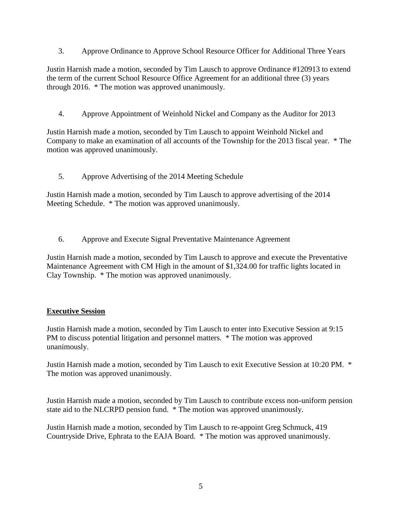3. Approve Ordinance to Approve School Resource Officer for Additional Three Years

Justin Harnish made a motion, seconded by Tim Lausch to approve Ordinance #120913 to extend the term of the current School Resource Office Agreement for an additional three (3) years through 2016. \* The motion was approved unanimously.

4. Approve Appointment of Weinhold Nickel and Company as the Auditor for 2013

Justin Harnish made a motion, seconded by Tim Lausch to appoint Weinhold Nickel and Company to make an examination of all accounts of the Township for the 2013 fiscal year. \* The motion was approved unanimously.

5. Approve Advertising of the 2014 Meeting Schedule

Justin Harnish made a motion, seconded by Tim Lausch to approve advertising of the 2014 Meeting Schedule. \* The motion was approved unanimously.

6. Approve and Execute Signal Preventative Maintenance Agreement

Justin Harnish made a motion, seconded by Tim Lausch to approve and execute the Preventative Maintenance Agreement with CM High in the amount of \$1,324.00 for traffic lights located in Clay Township. \* The motion was approved unanimously.

# **Executive Session**

Justin Harnish made a motion, seconded by Tim Lausch to enter into Executive Session at 9:15 PM to discuss potential litigation and personnel matters. \* The motion was approved unanimously.

Justin Harnish made a motion, seconded by Tim Lausch to exit Executive Session at 10:20 PM. \* The motion was approved unanimously.

Justin Harnish made a motion, seconded by Tim Lausch to contribute excess non-uniform pension state aid to the NLCRPD pension fund. \* The motion was approved unanimously.

Justin Harnish made a motion, seconded by Tim Lausch to re-appoint Greg Schmuck, 419 Countryside Drive, Ephrata to the EAJA Board. \* The motion was approved unanimously.